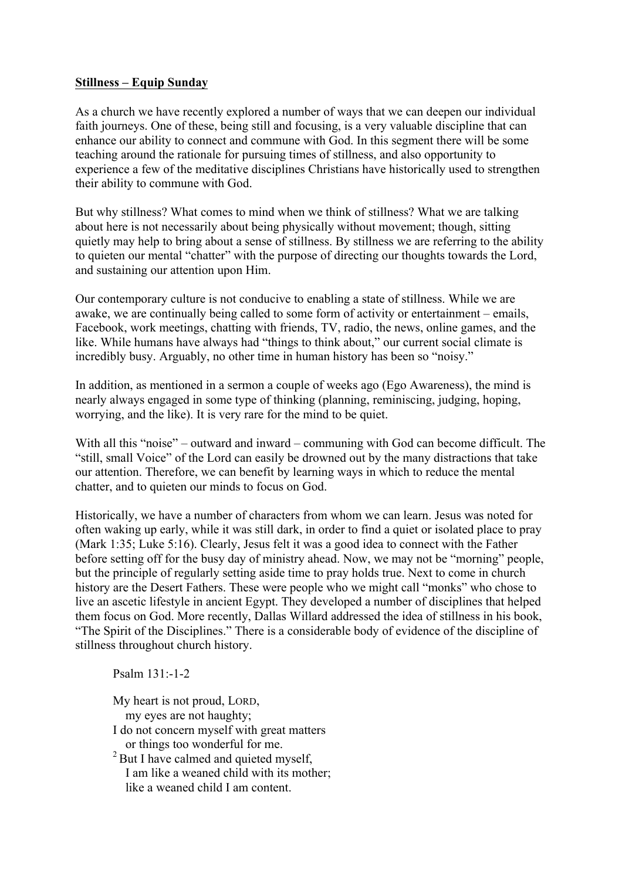## **Stillness – Equip Sunday**

As a church we have recently explored a number of ways that we can deepen our individual faith journeys. One of these, being still and focusing, is a very valuable discipline that can enhance our ability to connect and commune with God. In this segment there will be some teaching around the rationale for pursuing times of stillness, and also opportunity to experience a few of the meditative disciplines Christians have historically used to strengthen their ability to commune with God.

But why stillness? What comes to mind when we think of stillness? What we are talking about here is not necessarily about being physically without movement; though, sitting quietly may help to bring about a sense of stillness. By stillness we are referring to the ability to quieten our mental "chatter" with the purpose of directing our thoughts towards the Lord, and sustaining our attention upon Him.

Our contemporary culture is not conducive to enabling a state of stillness. While we are awake, we are continually being called to some form of activity or entertainment – emails, Facebook, work meetings, chatting with friends, TV, radio, the news, online games, and the like. While humans have always had "things to think about," our current social climate is incredibly busy. Arguably, no other time in human history has been so "noisy."

In addition, as mentioned in a sermon a couple of weeks ago (Ego Awareness), the mind is nearly always engaged in some type of thinking (planning, reminiscing, judging, hoping, worrying, and the like). It is very rare for the mind to be quiet.

With all this "noise" – outward and inward – communing with God can become difficult. The "still, small Voice" of the Lord can easily be drowned out by the many distractions that take our attention. Therefore, we can benefit by learning ways in which to reduce the mental chatter, and to quieten our minds to focus on God.

Historically, we have a number of characters from whom we can learn. Jesus was noted for often waking up early, while it was still dark, in order to find a quiet or isolated place to pray (Mark 1:35; Luke 5:16). Clearly, Jesus felt it was a good idea to connect with the Father before setting off for the busy day of ministry ahead. Now, we may not be "morning" people, but the principle of regularly setting aside time to pray holds true. Next to come in church history are the Desert Fathers. These were people who we might call "monks" who chose to live an ascetic lifestyle in ancient Egypt. They developed a number of disciplines that helped them focus on God. More recently, Dallas Willard addressed the idea of stillness in his book, "The Spirit of the Disciplines." There is a considerable body of evidence of the discipline of stillness throughout church history.

Psalm 131:-1-2

My heart is not proud, LORD,

my eyes are not haughty;

I do not concern myself with great matters or things too wonderful for me.

<sup>2</sup> But I have calmed and quieted myself, I am like a weaned child with its mother; like a weaned child I am content.